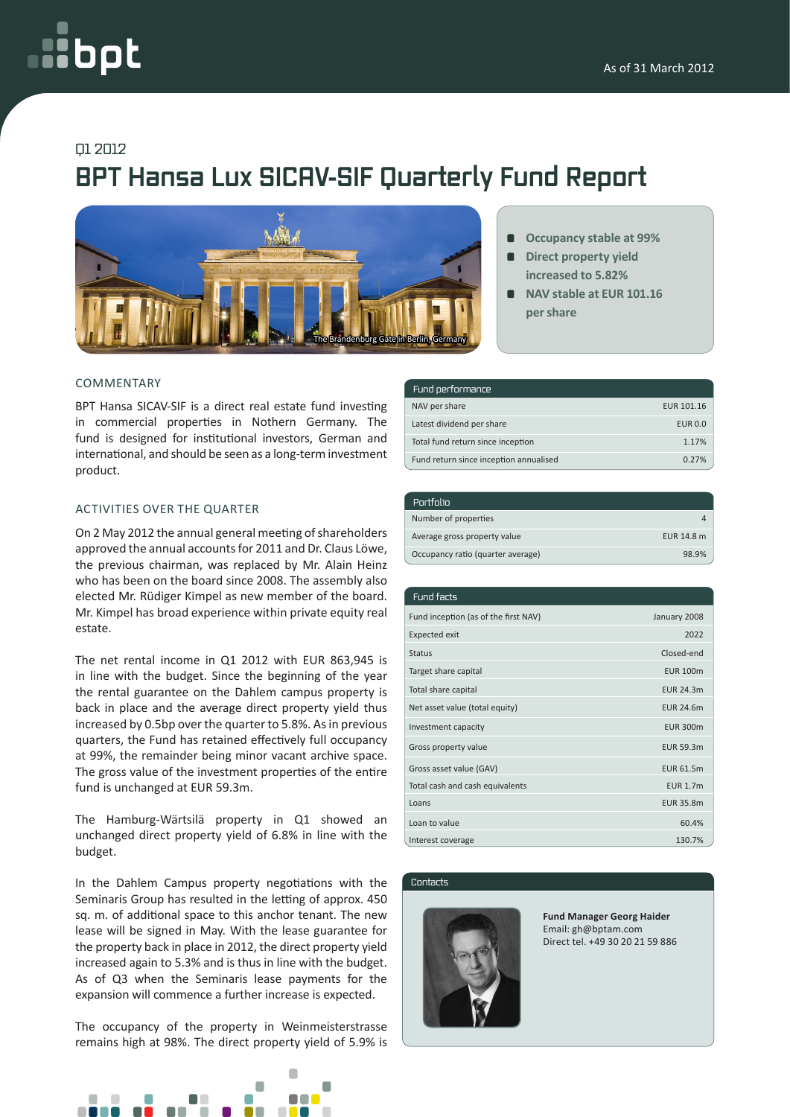# oc

### Q1 2012

## **BPT Hansa Lux SICAV-SIF Quarterly Fund Report**



#### COMMENTARY

BPT Hansa SICAV-SIF is a direct real estate fund investing in commercial properties in Nothern Germany. The fund is designed for institutional investors, German and international, and should be seen as a long-term investment product.

#### ACTIVITIES OVER THE QUARTER

On 2 May 2012 the annual general meeting of shareholders approved the annual accounts for 2011 and Dr. Claus Löwe, the previous chairman, was replaced by Mr. Alain Heinz who has been on the board since 2008. The assembly also elected Mr. Rüdiger Kimpel as new member of the board. Mr. Kimpel has broad experience within private equity real estate.

The net rental income in Q1 2012 with EUR 863,945 is in line with the budget. Since the beginning of the year the rental guarantee on the Dahlem campus property is back in place and the average direct property yield thus increased by 0.5bp over the quarter to 5.8%. As in previous quarters, the Fund has retained effectively full occupancy at 99%, the remainder being minor vacant archive space. The gross value of the investment properties of the entire fund is unchanged at EUR 59.3m.

The Hamburg-Wärtsilä property in Q1 showed an unchanged direct property yield of 6.8% in line with the budget.

In the Dahlem Campus property negotiations with the Seminaris Group has resulted in the letting of approx. 450 sq. m. of additional space to this anchor tenant. The new lease will be signed in May. With the lease guarantee for the property back in place in 2012, the direct property yield increased again to 5.3% and is thus in line with the budget. As of Q3 when the Seminaris lease payments for the expansion will commence a further increase is expected.

The occupancy of the property in Weinmeisterstrasse remains high at 98%. The direct property yield of 5.9% is



- **Occupancy stable at 99%**
- **Direct property yield increased to 5.82%**
- **NAV stable at EUR 101.16 per share**

| Fund performance                       |                |
|----------------------------------------|----------------|
| NAV per share                          | EUR 101.16     |
| Latest dividend per share              | <b>EUR 0.0</b> |
| Total fund return since inception      | 1.17%          |
| Fund return since inception annualised | 0.27%          |

| Portfolio                         |            |
|-----------------------------------|------------|
| Number of properties              |            |
| Average gross property value      | EUR 14.8 m |
| Occupancy ratio (quarter average) | 98.9%      |

| Fund facts                           |                  |
|--------------------------------------|------------------|
| Fund inception (as of the first NAV) | January 2008     |
| <b>Expected exit</b>                 | 2022             |
| <b>Status</b>                        | Closed-end       |
| Target share capital                 | <b>EUR 100m</b>  |
| Total share capital                  | <b>EUR 24.3m</b> |
| Net asset value (total equity)       | <b>EUR 24.6m</b> |
| Investment capacity                  | <b>EUR 300m</b>  |
| Gross property value                 | <b>EUR 59.3m</b> |
| Gross asset value (GAV)              | <b>EUR 61.5m</b> |
| Total cash and cash equivalents      | <b>EUR 1.7m</b>  |
| Loans                                | <b>EUR 35.8m</b> |
| Loan to value                        | 60.4%            |
| Interest coverage                    | 130.7%           |

Contacts



**Fund Manager Georg Haider** Email: gh@bptam.com Direct tel. +49 30 20 21 59 886